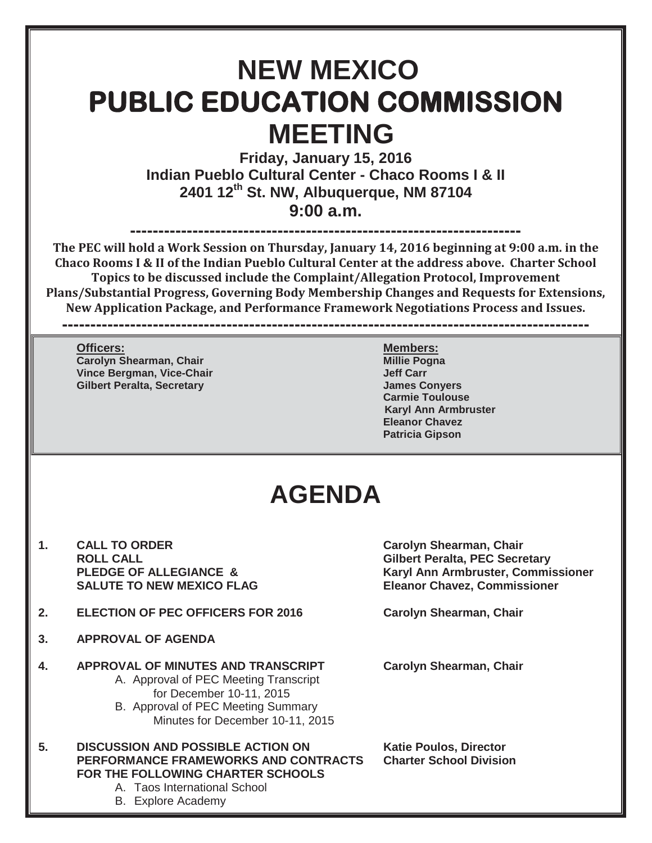# **NEW MEXICO PUBLIC EDUCATION COMMISSION MEETING**

**Friday, January 15, 2016 Indian Pueblo Cultural Center - Chaco Rooms I & II 2401 12th St. NW, Albuquerque, NM 87104 9:00 a.m.**

**--------------------------------------------------------------------- The PEC will hold a Work Session on Thursday, January 14, 2016 beginning at 9:00 a.m. in the Chaco Rooms I & II of the Indian Pueblo Cultural Center at the address above. Charter School Topics to be discussed include the Complaint/Allegation Protocol, Improvement Plans/Substantial Progress, Governing Body Membership Changes and Requests for Extensions, New Application Package, and Performance Framework Negotiations Process and Issues.** 

**---------------------------------------------------------------------------------------------**

**Officers:** Members: **Carolyn Shearman, Chair Millie Pogna Vince Bergman, Vice-Chair Jeff Carr Gilbert Peralta, Secretary James Conyers**

**Carmie Toulouse Karyl Ann Armbruster Eleanor Chavez Patricia Gipson**

## **AGENDA**

- 1. CALL TO ORDER Carolyn Shearman, Chair **ROLL CALL Gilbert Peralta, PEC Secretary** SALUTE TO NEW MEXICO FLAG **Eleanor Chavez, Commissioner**
- **2. ELECTION OF PEC OFFICERS FOR 2016 Carolyn Shearman, Chair**
- **3. APPROVAL OF AGENDA**
- **4. APPROVAL OF MINUTES AND TRANSCRIPT Carolyn Shearman, Chair** A. Approval of PEC Meeting Transcript for December 10-11, 2015
	- B. Approval of PEC Meeting Summary Minutes for December 10-11, 2015
- **5. DISCUSSION AND POSSIBLE ACTION ON Katie Poulos, Director PERFORMANCE FRAMEWORKS AND CONTRACTS Charter School Division FOR THE FOLLOWING CHARTER SCHOOLS**

A. Taos International School

B. Explore Academy

PLEDGE OF ALLEGIANCE & Karyl Ann Armbruster, Commissioner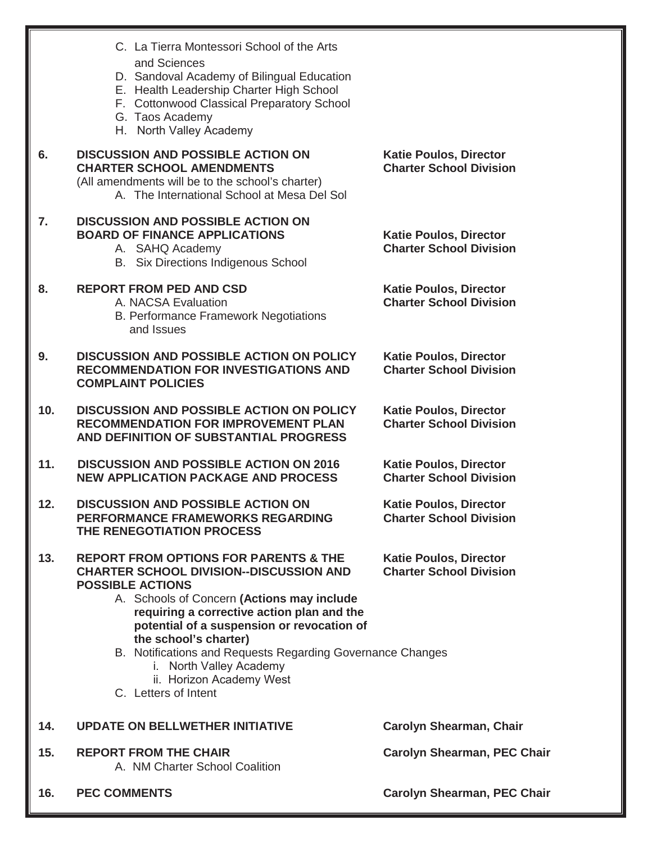|     | C. La Tierra Montessori School of the Arts<br>and Sciences<br>D. Sandoval Academy of Bilingual Education<br>E. Health Leadership Charter High School<br>F. Cottonwood Classical Preparatory School<br>G. Taos Academy<br>H. North Valley Academy                                                                                                                                                                                              |                                                                 |
|-----|-----------------------------------------------------------------------------------------------------------------------------------------------------------------------------------------------------------------------------------------------------------------------------------------------------------------------------------------------------------------------------------------------------------------------------------------------|-----------------------------------------------------------------|
| 6.  | <b>DISCUSSION AND POSSIBLE ACTION ON</b><br><b>CHARTER SCHOOL AMENDMENTS</b><br>(All amendments will be to the school's charter)<br>A. The International School at Mesa Del Sol                                                                                                                                                                                                                                                               | <b>Katie Poulos, Director</b><br><b>Charter School Division</b> |
| 7.  | <b>DISCUSSION AND POSSIBLE ACTION ON</b><br><b>BOARD OF FINANCE APPLICATIONS</b><br>A. SAHQ Academy<br><b>B.</b> Six Directions Indigenous School                                                                                                                                                                                                                                                                                             | <b>Katie Poulos, Director</b><br><b>Charter School Division</b> |
| 8.  | <b>REPORT FROM PED AND CSD</b><br>A. NACSA Evaluation<br><b>B. Performance Framework Negotiations</b><br>and Issues                                                                                                                                                                                                                                                                                                                           | <b>Katie Poulos, Director</b><br><b>Charter School Division</b> |
| 9.  | <b>DISCUSSION AND POSSIBLE ACTION ON POLICY</b><br><b>RECOMMENDATION FOR INVESTIGATIONS AND</b><br><b>COMPLAINT POLICIES</b>                                                                                                                                                                                                                                                                                                                  | <b>Katie Poulos, Director</b><br><b>Charter School Division</b> |
| 10. | <b>DISCUSSION AND POSSIBLE ACTION ON POLICY</b><br><b>RECOMMENDATION FOR IMPROVEMENT PLAN</b><br>AND DEFINITION OF SUBSTANTIAL PROGRESS                                                                                                                                                                                                                                                                                                       | <b>Katie Poulos, Director</b><br><b>Charter School Division</b> |
| 11. | <b>DISCUSSION AND POSSIBLE ACTION ON 2016</b><br><b>NEW APPLICATION PACKAGE AND PROCESS</b>                                                                                                                                                                                                                                                                                                                                                   | <b>Katie Poulos, Director</b><br><b>Charter School Division</b> |
| 12. | <b>DISCUSSION AND POSSIBLE ACTION ON</b><br>PERFORMANCE FRAMEWORKS REGARDING<br>THE RENEGOTIATION PROCESS                                                                                                                                                                                                                                                                                                                                     | <b>Katie Poulos, Director</b><br><b>Charter School Division</b> |
| 13. | <b>REPORT FROM OPTIONS FOR PARENTS &amp; THE</b><br><b>CHARTER SCHOOL DIVISION--DISCUSSION AND</b><br><b>POSSIBLE ACTIONS</b><br>A. Schools of Concern (Actions may include<br>requiring a corrective action plan and the<br>potential of a suspension or revocation of<br>the school's charter)<br>B. Notifications and Requests Regarding Governance Changes<br>i. North Valley Academy<br>ii. Horizon Academy West<br>C. Letters of Intent | <b>Katie Poulos, Director</b><br><b>Charter School Division</b> |
| 14. | <b>UPDATE ON BELLWETHER INITIATIVE</b>                                                                                                                                                                                                                                                                                                                                                                                                        | <b>Carolyn Shearman, Chair</b>                                  |
| 15. | <b>REPORT FROM THE CHAIR</b><br>A. NM Charter School Coalition                                                                                                                                                                                                                                                                                                                                                                                | <b>Carolyn Shearman, PEC Chair</b>                              |
| 16. | <b>PEC COMMENTS</b>                                                                                                                                                                                                                                                                                                                                                                                                                           | <b>Carolyn Shearman, PEC Chair</b>                              |